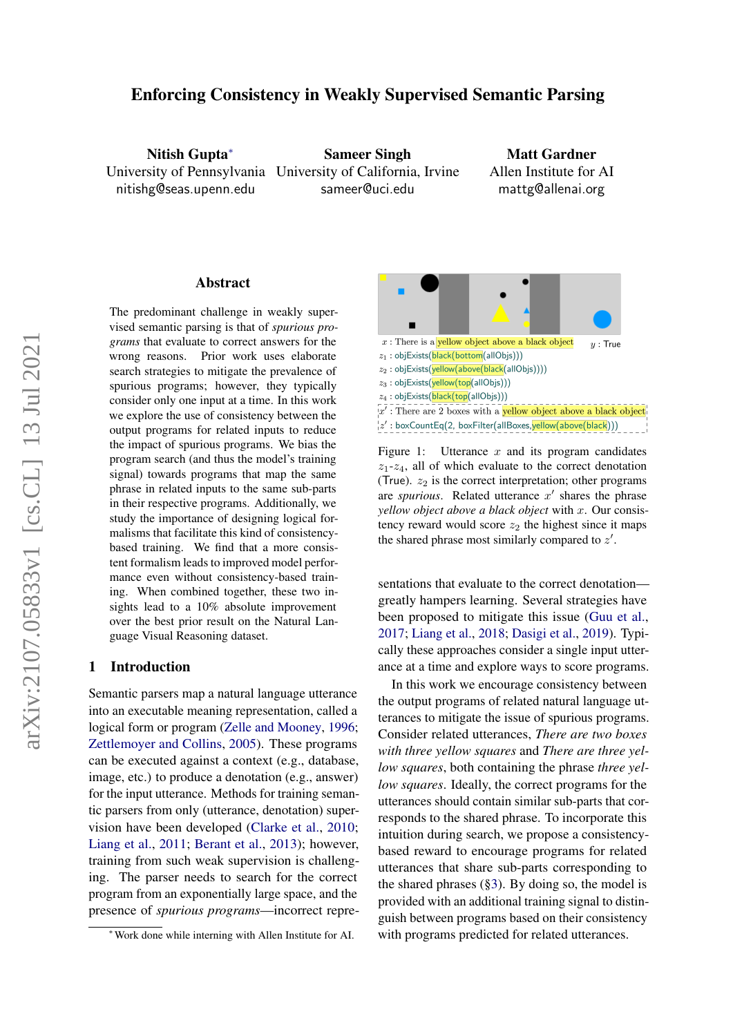# Enforcing Consistency in Weakly Supervised Semantic Parsing

Nitish Gupta<sup>∗</sup> University of Pennsylvania University of California, Irvine nitishg@seas.upenn.edu

Sameer Singh sameer@uci.edu

Matt Gardner Allen Institute for AI mattg@allenai.org

#### Abstract

The predominant challenge in weakly supervised semantic parsing is that of *spurious programs* that evaluate to correct answers for the wrong reasons. Prior work uses elaborate search strategies to mitigate the prevalence of spurious programs; however, they typically consider only one input at a time. In this work we explore the use of consistency between the output programs for related inputs to reduce the impact of spurious programs. We bias the program search (and thus the model's training signal) towards programs that map the same phrase in related inputs to the same sub-parts in their respective programs. Additionally, we study the importance of designing logical formalisms that facilitate this kind of consistencybased training. We find that a more consistent formalism leads to improved model performance even without consistency-based training. When combined together, these two insights lead to a 10% absolute improvement over the best prior result on the Natural Language Visual Reasoning dataset.

### 1 Introduction

Semantic parsers map a natural language utterance into an executable meaning representation, called a logical form or program [\(Zelle and Mooney,](#page-4-0) [1996;](#page-4-0) [Zettlemoyer and Collins,](#page-4-1) [2005\)](#page-4-1). These programs can be executed against a context (e.g., database, image, etc.) to produce a denotation (e.g., answer) for the input utterance. Methods for training semantic parsers from only (utterance, denotation) supervision have been developed [\(Clarke et al.,](#page-4-2) [2010;](#page-4-2) [Liang et al.,](#page-4-3) [2011;](#page-4-3) [Berant et al.,](#page-4-4) [2013\)](#page-4-4); however, training from such weak supervision is challenging. The parser needs to search for the correct program from an exponentially large space, and the presence of *spurious programs*—incorrect repre-

<span id="page-0-0"></span>



sentations that evaluate to the correct denotation greatly hampers learning. Several strategies have been proposed to mitigate this issue [\(Guu et al.,](#page-4-5) [2017;](#page-4-5) [Liang et al.,](#page-4-6) [2018;](#page-4-6) [Dasigi et al.,](#page-4-7) [2019\)](#page-4-7). Typically these approaches consider a single input utterance at a time and explore ways to score programs.

In this work we encourage consistency between the output programs of related natural language utterances to mitigate the issue of spurious programs. Consider related utterances, *There are two boxes with three yellow squares* and *There are three yellow squares*, both containing the phrase *three yellow squares*. Ideally, the correct programs for the utterances should contain similar sub-parts that corresponds to the shared phrase. To incorporate this intuition during search, we propose a consistencybased reward to encourage programs for related utterances that share sub-parts corresponding to the shared phrases  $(\S3)$ . By doing so, the model is provided with an additional training signal to distinguish between programs based on their consistency with programs predicted for related utterances.

<sup>∗</sup>Work done while interning with Allen Institute for AI.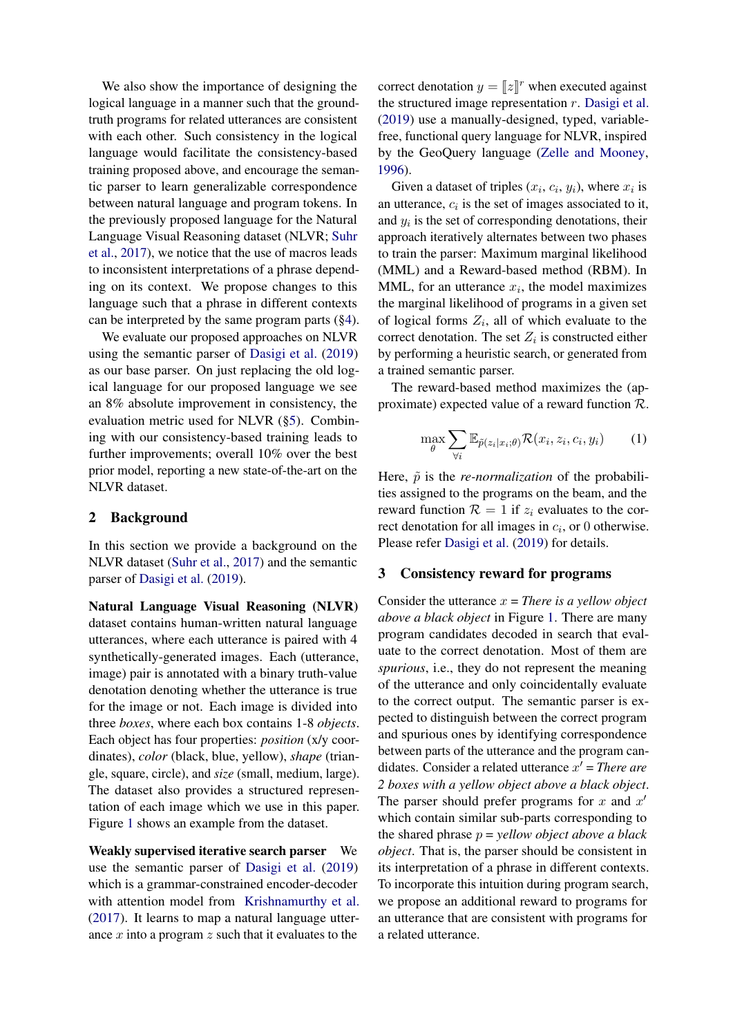We also show the importance of designing the logical language in a manner such that the groundtruth programs for related utterances are consistent with each other. Such consistency in the logical language would facilitate the consistency-based training proposed above, and encourage the semantic parser to learn generalizable correspondence between natural language and program tokens. In the previously proposed language for the Natural Language Visual Reasoning dataset (NLVR; [Suhr](#page-4-8) [et al.,](#page-4-8) [2017\)](#page-4-8), we notice that the use of macros leads to inconsistent interpretations of a phrase depending on its context. We propose changes to this language such that a phrase in different contexts can be interpreted by the same program parts ([§4\)](#page-2-0).

We evaluate our proposed approaches on NLVR using the semantic parser of [Dasigi et al.](#page-4-7) [\(2019\)](#page-4-7) as our base parser. On just replacing the old logical language for our proposed language we see an 8% absolute improvement in consistency, the evaluation metric used for NLVR ([§5\)](#page-3-0). Combining with our consistency-based training leads to further improvements; overall 10% over the best prior model, reporting a new state-of-the-art on the NLVR dataset.

## <span id="page-1-2"></span>2 Background

In this section we provide a background on the NLVR dataset [\(Suhr et al.,](#page-4-8) [2017\)](#page-4-8) and the semantic parser of [Dasigi et al.](#page-4-7) [\(2019\)](#page-4-7).

Natural Language Visual Reasoning (NLVR) dataset contains human-written natural language utterances, where each utterance is paired with 4 synthetically-generated images. Each (utterance, image) pair is annotated with a binary truth-value denotation denoting whether the utterance is true for the image or not. Each image is divided into three *boxes*, where each box contains 1-8 *objects*. Each object has four properties: *position* (x/y coordinates), *color* (black, blue, yellow), *shape* (triangle, square, circle), and *size* (small, medium, large). The dataset also provides a structured representation of each image which we use in this paper. Figure [1](#page-0-0) shows an example from the dataset.

Weakly supervised iterative search parser We use the semantic parser of [Dasigi et al.](#page-4-7) [\(2019\)](#page-4-7) which is a grammar-constrained encoder-decoder with attention model from [Krishnamurthy et al.](#page-4-9) [\(2017\)](#page-4-9). It learns to map a natural language utterance  $x$  into a program  $z$  such that it evaluates to the

correct denotation  $y = [z]^r$  when executed against<br>the structured image representation  $r$ . Design at all the structured image representation  $r$ . [Dasigi et al.](#page-4-7) [\(2019\)](#page-4-7) use a manually-designed, typed, variablefree, functional query language for NLVR, inspired by the GeoQuery language [\(Zelle and Mooney,](#page-4-0) [1996\)](#page-4-0).

Given a dataset of triples  $(x_i, c_i, y_i)$ , where  $x_i$  is an utterance,  $c_i$  is the set of images associated to it, and  $y_i$  is the set of corresponding denotations, their approach iteratively alternates between two phases to train the parser: Maximum marginal likelihood (MML) and a Reward-based method (RBM). In MML, for an utterance  $x_i$ , the model maximizes the marginal likelihood of programs in a given set of logical forms  $Z_i$ , all of which evaluate to the correct denotation. The set  $Z_i$  is constructed either by performing a heuristic search, or generated from a trained semantic parser.

<span id="page-1-1"></span>The reward-based method maximizes the (approximate) expected value of a reward function R.

$$
\max_{\theta} \sum_{\forall i} \mathbb{E}_{\tilde{p}(z_i|x_i;\theta)} \mathcal{R}(x_i, z_i, c_i, y_i) \qquad (1)
$$

Here,  $\tilde{p}$  is the *re-normalization* of the probabilities assigned to the programs on the beam, and the reward function  $\mathcal{R} = 1$  if  $z_i$  evaluates to the correct denotation for all images in  $c_i$ , or 0 otherwise. Please refer [Dasigi et al.](#page-4-7) [\(2019\)](#page-4-7) for details.

#### <span id="page-1-0"></span>3 Consistency reward for programs

Consider the utterance  $x = There$  is a yellow object *above a black object* in Figure [1.](#page-0-0) There are many program candidates decoded in search that evaluate to the correct denotation. Most of them are *spurious*, i.e., they do not represent the meaning of the utterance and only coincidentally evaluate to the correct output. The semantic parser is expected to distinguish between the correct program and spurious ones by identifying correspondence between parts of the utterance and the program candidates. Consider a related utterance  $x'$  = *There are 2 boxes with a yellow object above a black object*. The parser should prefer programs for  $x$  and  $x'$ which contain similar sub-parts corresponding to the shared phrase p = *yellow object above a black object*. That is, the parser should be consistent in its interpretation of a phrase in different contexts. To incorporate this intuition during program search, we propose an additional reward to programs for an utterance that are consistent with programs for a related utterance.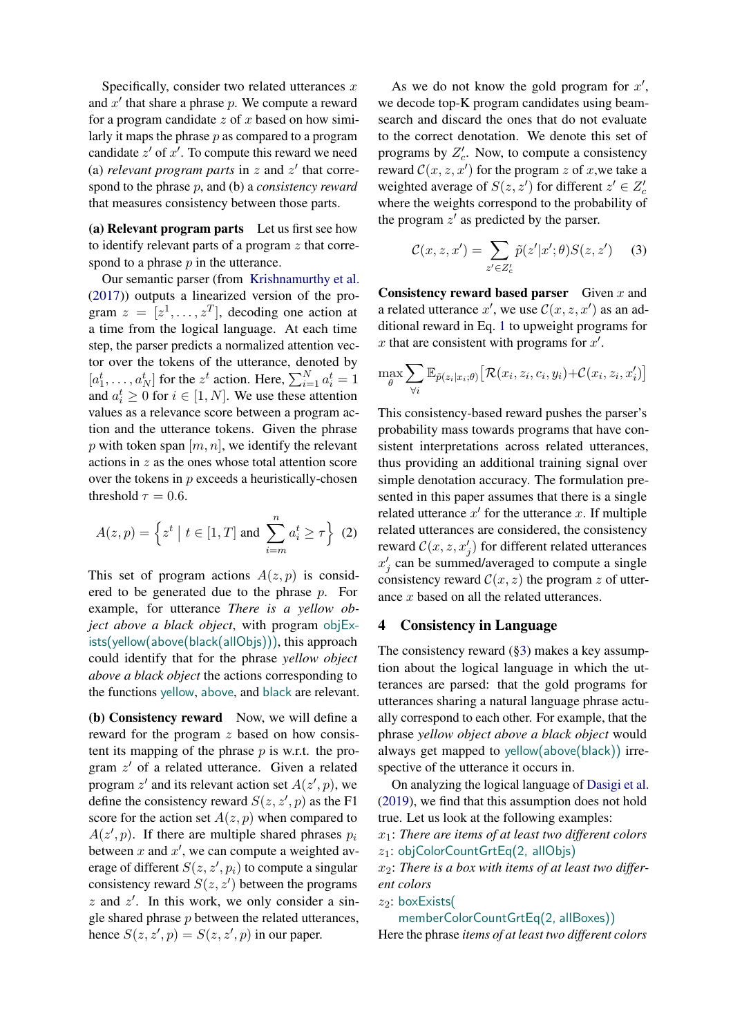Specifically, consider two related utterances  $x$ and  $x'$  that share a phrase  $p$ . We compute a reward for a program candidate  $z$  of  $x$  based on how similarly it maps the phrase  $p$  as compared to a program candidate  $z'$  of  $x'$ . To compute this reward we need (a) *relevant program parts* in  $z$  and  $z'$  that correspond to the phrase p, and (b) a *consistency reward* that measures consistency between those parts.

(a) Relevant program parts Let us first see how to identify relevant parts of a program  $z$  that correspond to a phrase  $p$  in the utterance.

Our semantic parser (from [Krishnamurthy et al.](#page-4-9) [\(2017\)](#page-4-9)) outputs a linearized version of the program  $z = [z^1, \dots, z^T]$ , decoding one action at a time from the logical language. At each time step, the parser predicts a normalized attention vector over the tokens of the utterance, denoted by  $[a_1^t, \ldots, a_N^t]$  for the  $z^t$  action. Here,  $\sum_{i=1}^N a_i^t = 1$ and  $a_i^t \geq 0$  for  $i \in [1, N]$ . We use these attention values as a relevance score between a program action and the utterance tokens. Given the phrase  $p$  with token span  $[m, n]$ , we identify the relevant actions in z as the ones whose total attention score over the tokens in p exceeds a heuristically-chosen threshold  $\tau = 0.6$ .

$$
A(z,p) = \left\{ z^t \mid t \in [1,T] \text{ and } \sum_{i=m}^n a_i^t \ge \tau \right\}
$$
 (2)

This set of program actions  $A(z, p)$  is considered to be generated due to the phrase p. For example, for utterance *There is a yellow object above a black object*, with program objExists(yellow(above(black(allObjs))), this approach could identify that for the phrase *yellow object above a black object* the actions corresponding to the functions yellow, above, and black are relevant.

(b) Consistency reward Now, we will define a reward for the program z based on how consistent its mapping of the phrase  $p$  is w.r.t. the program  $z'$  of a related utterance. Given a related program  $z'$  and its relevant action set  $A(z', p)$ , we define the consistency reward  $S(z, z', p)$  as the F1 score for the action set  $A(z, p)$  when compared to  $A(z', p)$ . If there are multiple shared phrases  $p_i$ between x and  $x'$ , we can compute a weighted average of different  $S(z, z', p_i)$  to compute a singular consistency reward  $S(z, z')$  between the programs  $z$  and  $z'$ . In this work, we only consider a single shared phrase  $p$  between the related utterances, hence  $S(z, z', p) = S(z, z', p)$  in our paper.

As we do not know the gold program for  $x'$ , we decode top-K program candidates using beamsearch and discard the ones that do not evaluate to the correct denotation. We denote this set of programs by  $Z_c'$ . Now, to compute a consistency reward  $\mathcal{C}(x, z, x')$  for the program z of x,we take a weighted average of  $S(z, z')$  for different  $z' \in Z'_c$ where the weights correspond to the probability of the program  $z'$  as predicted by the parser.

$$
\mathcal{C}(x, z, x') = \sum_{z' \in Z'_c} \tilde{p}(z'|x'; \theta) S(z, z')
$$
 (3)

**Consistency reward based parser** Given  $x$  and a related utterance  $x'$ , we use  $\mathcal{C}(x, z, x')$  as an additional reward in Eq. [1](#page-1-1) to upweight programs for x that are consistent with programs for  $x'$ .

$$
\max_{\theta} \sum_{\forall i} \mathbb{E}_{\tilde{p}(z_i|x_i;\theta)} \big[ \mathcal{R}(x_i, z_i, c_i, y_i) + \mathcal{C}(x_i, z_i, x'_i) \big]
$$

This consistency-based reward pushes the parser's probability mass towards programs that have consistent interpretations across related utterances, thus providing an additional training signal over simple denotation accuracy. The formulation presented in this paper assumes that there is a single related utterance  $x'$  for the utterance  $x$ . If multiple related utterances are considered, the consistency reward  $\mathcal{C}(x, z, x'_j)$  for different related utterances  $x'_j$  can be summed/averaged to compute a single consistency reward  $\mathcal{C}(x, z)$  the program z of utterance x based on all the related utterances.

## <span id="page-2-0"></span>4 Consistency in Language

The consistency reward ([§3\)](#page-1-0) makes a key assumption about the logical language in which the utterances are parsed: that the gold programs for utterances sharing a natural language phrase actually correspond to each other. For example, that the phrase *yellow object above a black object* would always get mapped to yellow(above(black)) irrespective of the utterance it occurs in.

On analyzing the logical language of [Dasigi et al.](#page-4-7) [\(2019\)](#page-4-7), we find that this assumption does not hold true. Let us look at the following examples:

x1: *There are items of at least two different colors*  $z_1$ : objColorCountGrtEq(2, allObjs)

x2: *There is a box with items of at least two different colors*

 $z_2$ : boxExists(

memberColorCountGrtEq(2, allBoxes))

Here the phrase *items of at least two different colors*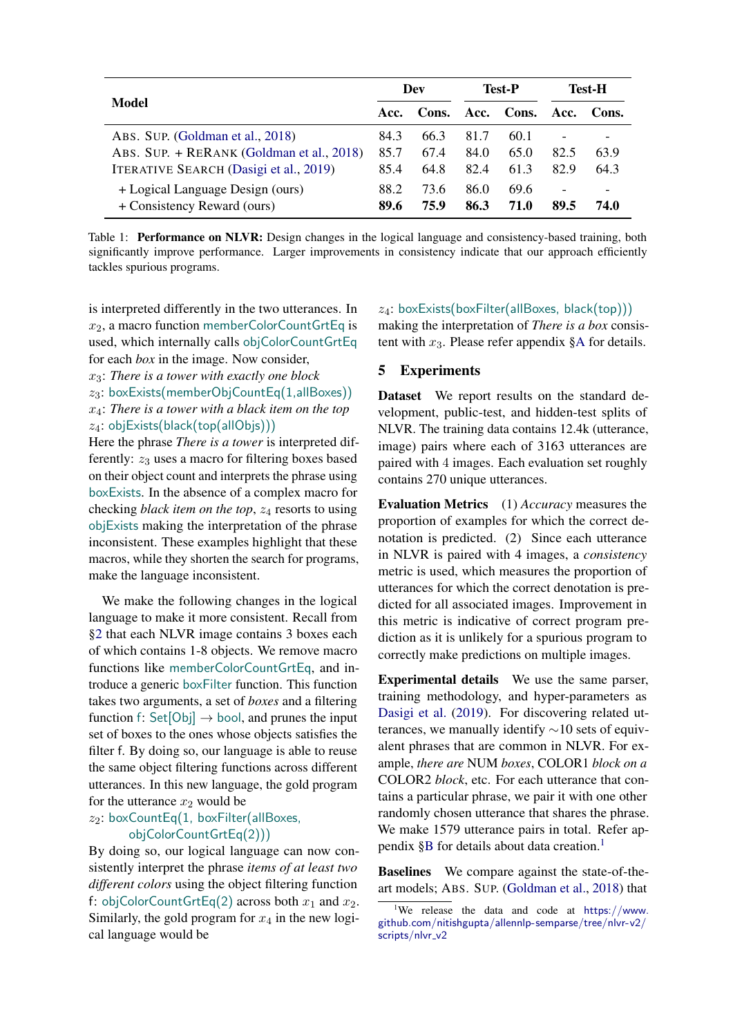<span id="page-3-2"></span>

| Model                                     | Dev  |      | Test-P |                  | Test-H |       |
|-------------------------------------------|------|------|--------|------------------|--------|-------|
|                                           | Acc. |      |        | Cons. Acc. Cons. | Acc.   | Cons. |
| ABS. SUP. (Goldman et al., 2018)          | 84.3 | 66.3 | 81.7   | 60.1             |        |       |
| ABS. SUP. + RERANK (Goldman et al., 2018) | 85.7 | 67.4 | 84.0   | 65.0             | 82.5   | 63.9  |
| ITERATIVE SEARCH (Dasigi et al., 2019)    | 85.4 | 64.8 | 82.4   | 61.3             | 82.9   | 64.3  |
| + Logical Language Design (ours)          | 88.2 | 73.6 | 86.0   | 69.6             |        |       |
| + Consistency Reward (ours)               | 89.6 | 75.9 | 86.3   | 71.0             | 89.5   | 74.O  |

Table 1: **Performance on NLVR:** Design changes in the logical language and consistency-based training, both significantly improve performance. Larger improvements in consistency indicate that our approach efficiently tackles spurious programs.

is interpreted differently in the two utterances. In  $x_2$ , a macro function memberColorCountGrtEq is used, which internally calls objColorCountGrtEq for each *box* in the image. Now consider,

x3: *There is a tower with exactly one block*

 $z_3$ : boxExists(memberObjCountEq(1,allBoxes)) x4: *There is a tower with a black item on the top*  $z_4$ : objExists(black(top(allObjs)))

Here the phrase *There is a tower* is interpreted differently:  $z_3$  uses a macro for filtering boxes based on their object count and interprets the phrase using boxExists. In the absence of a complex macro for checking *black item on the top*,  $z_4$  resorts to using objExists making the interpretation of the phrase inconsistent. These examples highlight that these macros, while they shorten the search for programs, make the language inconsistent.

We make the following changes in the logical language to make it more consistent. Recall from [§2](#page-1-2) that each NLVR image contains 3 boxes each of which contains 1-8 objects. We remove macro functions like memberColorCountGrtEq, and introduce a generic boxFilter function. This function takes two arguments, a set of *boxes* and a filtering function f: Set $[Obj] \rightarrow$  bool, and prunes the input set of boxes to the ones whose objects satisfies the filter f. By doing so, our language is able to reuse the same object filtering functions across different utterances. In this new language, the gold program for the utterance  $x_2$  would be

# $z_2$ : boxCountEq(1, boxFilter(allBoxes, objColorCountGrtEq(2)))

By doing so, our logical language can now consistently interpret the phrase *items of at least two different colors* using the object filtering function f: objColorCountGrtEq(2) across both  $x_1$  and  $x_2$ . Similarly, the gold program for  $x_4$  in the new logical language would be

 $z_4$ : boxExists(boxFilter(allBoxes, black(top))) making the interpretation of *There is a box* consistent with  $x_3$ . Please refer appendix [§A](#page-5-0) for details.

# <span id="page-3-0"></span>5 Experiments

Dataset We report results on the standard development, public-test, and hidden-test splits of NLVR. The training data contains 12.4k (utterance, image) pairs where each of 3163 utterances are paired with 4 images. Each evaluation set roughly contains 270 unique utterances.

Evaluation Metrics (1) *Accuracy* measures the proportion of examples for which the correct denotation is predicted. (2) Since each utterance in NLVR is paired with 4 images, a *consistency* metric is used, which measures the proportion of utterances for which the correct denotation is predicted for all associated images. Improvement in this metric is indicative of correct program prediction as it is unlikely for a spurious program to correctly make predictions on multiple images.

Experimental details We use the same parser, training methodology, and hyper-parameters as [Dasigi et al.](#page-4-7) [\(2019\)](#page-4-7). For discovering related utterances, we manually identify ∼10 sets of equivalent phrases that are common in NLVR. For example, *there are* NUM *boxes*, COLOR1 *block on a* COLOR2 *block*, etc. For each utterance that contains a particular phrase, we pair it with one other randomly chosen utterance that shares the phrase. We make 1579 utterance pairs in total. Refer ap-pendix [§B](#page-5-1) for details about data creation.<sup>[1](#page-3-1)</sup>

Baselines We compare against the state-of-theart models; ABS. SUP. [\(Goldman et al.,](#page-4-10) [2018\)](#page-4-10) that

<span id="page-3-1"></span><sup>&</sup>lt;sup>1</sup>We release the data and code at [https://www.](https://www.github.com/nitishgupta/allennlp-semparse/tree/nlvr-v2/scripts/nlvr_v2) [github.com/nitishgupta/allennlp-semparse/tree/nlvr-v2/](https://www.github.com/nitishgupta/allennlp-semparse/tree/nlvr-v2/scripts/nlvr_v2) [scripts/nlvr](https://www.github.com/nitishgupta/allennlp-semparse/tree/nlvr-v2/scripts/nlvr_v2)\_v2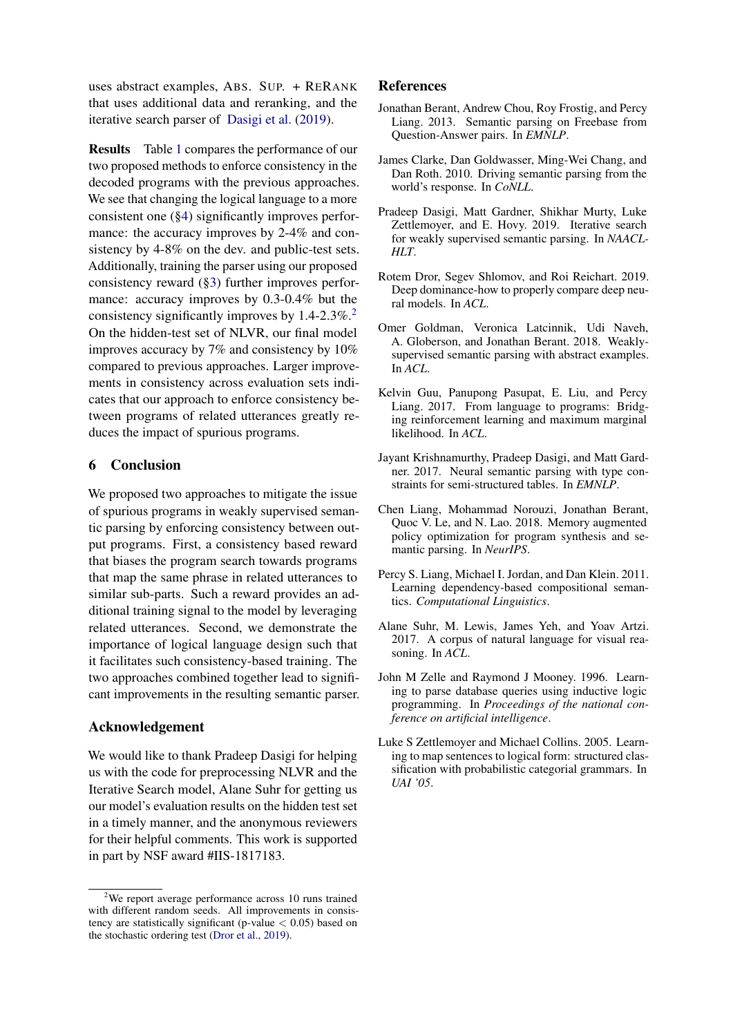uses abstract examples, ABS. SUP. + RERANK that uses additional data and reranking, and the iterative search parser of [Dasigi et al.](#page-4-7) [\(2019\)](#page-4-7).

Results Table [1](#page-3-2) compares the performance of our two proposed methods to enforce consistency in the decoded programs with the previous approaches. We see that changing the logical language to a more consistent one ([§4\)](#page-2-0) significantly improves performance: the accuracy improves by 2-4% and consistency by 4-8% on the dev. and public-test sets. Additionally, training the parser using our proposed consistency reward ([§3\)](#page-1-0) further improves performance: accuracy improves by 0.3-0.4% but the consistency significantly improves by  $1.4$ -[2](#page-4-11).3%.<sup>2</sup> On the hidden-test set of NLVR, our final model improves accuracy by 7% and consistency by 10% compared to previous approaches. Larger improvements in consistency across evaluation sets indicates that our approach to enforce consistency between programs of related utterances greatly reduces the impact of spurious programs.

### 6 Conclusion

We proposed two approaches to mitigate the issue of spurious programs in weakly supervised semantic parsing by enforcing consistency between output programs. First, a consistency based reward that biases the program search towards programs that map the same phrase in related utterances to similar sub-parts. Such a reward provides an additional training signal to the model by leveraging related utterances. Second, we demonstrate the importance of logical language design such that it facilitates such consistency-based training. The two approaches combined together lead to significant improvements in the resulting semantic parser.

## Acknowledgement

We would like to thank Pradeep Dasigi for helping us with the code for preprocessing NLVR and the Iterative Search model, Alane Suhr for getting us our model's evaluation results on the hidden test set in a timely manner, and the anonymous reviewers for their helpful comments. This work is supported in part by NSF award #IIS-1817183.

#### References

- <span id="page-4-4"></span>Jonathan Berant, Andrew Chou, Roy Frostig, and Percy Liang. 2013. Semantic parsing on Freebase from Question-Answer pairs. In *EMNLP*.
- <span id="page-4-2"></span>James Clarke, Dan Goldwasser, Ming-Wei Chang, and Dan Roth. 2010. Driving semantic parsing from the world's response. In *CoNLL*.
- <span id="page-4-7"></span>Pradeep Dasigi, Matt Gardner, Shikhar Murty, Luke Zettlemoyer, and E. Hovy. 2019. Iterative search for weakly supervised semantic parsing. In *NAACL-HLT*.
- <span id="page-4-12"></span>Rotem Dror, Segev Shlomov, and Roi Reichart. 2019. Deep dominance-how to properly compare deep neural models. In *ACL*.
- <span id="page-4-10"></span>Omer Goldman, Veronica Latcinnik, Udi Naveh, A. Globerson, and Jonathan Berant. 2018. Weaklysupervised semantic parsing with abstract examples. In *ACL*.
- <span id="page-4-5"></span>Kelvin Guu, Panupong Pasupat, E. Liu, and Percy Liang. 2017. From language to programs: Bridging reinforcement learning and maximum marginal likelihood. In *ACL*.
- <span id="page-4-9"></span>Jayant Krishnamurthy, Pradeep Dasigi, and Matt Gardner. 2017. Neural semantic parsing with type constraints for semi-structured tables. In *EMNLP*.
- <span id="page-4-6"></span>Chen Liang, Mohammad Norouzi, Jonathan Berant, Quoc V. Le, and N. Lao. 2018. Memory augmented policy optimization for program synthesis and semantic parsing. In *NeurIPS*.
- <span id="page-4-3"></span>Percy S. Liang, Michael I. Jordan, and Dan Klein. 2011. Learning dependency-based compositional semantics. *Computational Linguistics*.
- <span id="page-4-8"></span>Alane Suhr, M. Lewis, James Yeh, and Yoav Artzi. 2017. A corpus of natural language for visual reasoning. In *ACL*.
- <span id="page-4-0"></span>John M Zelle and Raymond J Mooney. 1996. Learning to parse database queries using inductive logic programming. In *Proceedings of the national conference on artificial intelligence*.
- <span id="page-4-1"></span>Luke S Zettlemoyer and Michael Collins. 2005. Learning to map sentences to logical form: structured classification with probabilistic categorial grammars. In *UAI '05*.

<span id="page-4-11"></span><sup>&</sup>lt;sup>2</sup>We report average performance across 10 runs trained with different random seeds. All improvements in consistency are statistically significant (p-value  $< 0.05$ ) based on the stochastic ordering test [\(Dror et al.,](#page-4-12) [2019\)](#page-4-12).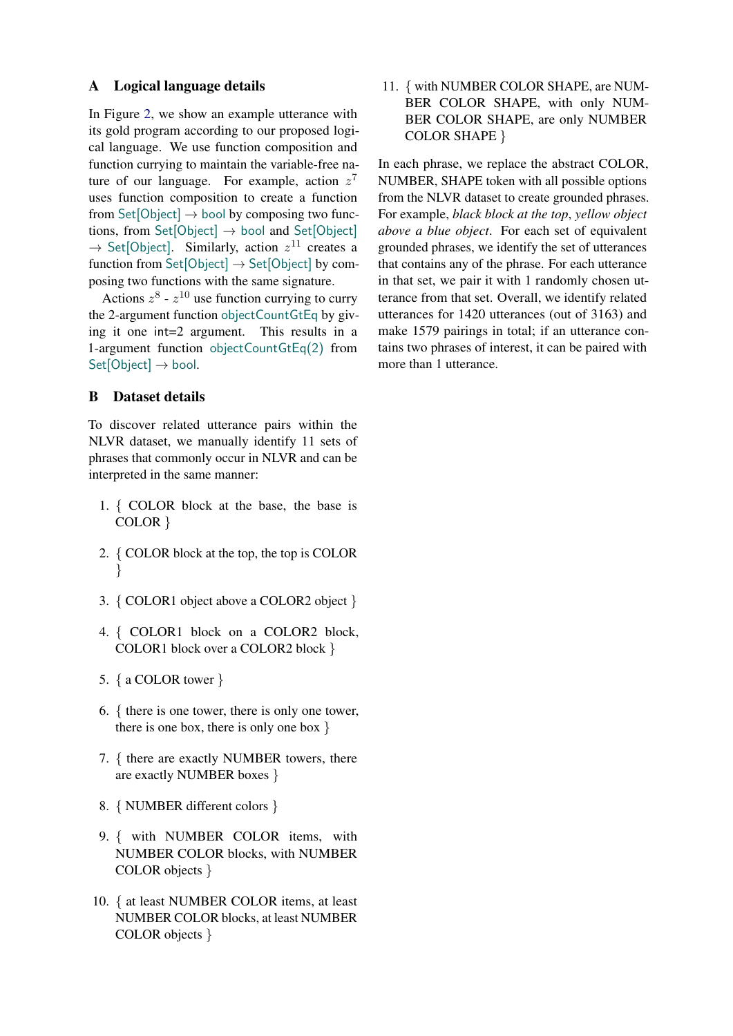### <span id="page-5-0"></span>A Logical language details

In Figure [2,](#page-6-0) we show an example utterance with its gold program according to our proposed logical language. We use function composition and function currying to maintain the variable-free nature of our language. For example, action  $z^7$ uses function composition to create a function from Set[Object]  $\rightarrow$  bool by composing two functions, from Set[Object]  $\rightarrow$  bool and Set[Object]  $\rightarrow$  Set[Object]. Similarly, action  $z^{11}$  creates a function from Set $[Object] \rightarrow Set[Object]$  by composing two functions with the same signature.

Actions  $z^8$  -  $z^{10}$  use function currying to curry the 2-argument function objectCountGtEq by giving it one int=2 argument. This results in a 1-argument function objectCountGtEq(2) from  $Set[Object] \rightarrow bool.$ 

## <span id="page-5-1"></span>B Dataset details

To discover related utterance pairs within the NLVR dataset, we manually identify 11 sets of phrases that commonly occur in NLVR and can be interpreted in the same manner:

- 1. { COLOR block at the base, the base is COLOR }
- 2. { COLOR block at the top, the top is COLOR }
- 3. { COLOR1 object above a COLOR2 object }
- 4. { COLOR1 block on a COLOR2 block, COLOR1 block over a COLOR2 block }
- 5. { a COLOR tower }
- 6. { there is one tower, there is only one tower, there is one box, there is only one box }
- 7. { there are exactly NUMBER towers, there are exactly NUMBER boxes }
- 8. { NUMBER different colors }
- 9. { with NUMBER COLOR items, with NUMBER COLOR blocks, with NUMBER COLOR objects }
- 10. { at least NUMBER COLOR items, at least NUMBER COLOR blocks, at least NUMBER COLOR objects }

11. { with NUMBER COLOR SHAPE, are NUM-BER COLOR SHAPE, with only NUM-BER COLOR SHAPE, are only NUMBER COLOR SHAPE }

In each phrase, we replace the abstract COLOR, NUMBER, SHAPE token with all possible options from the NLVR dataset to create grounded phrases. For example, *black block at the top*, *yellow object above a blue object*. For each set of equivalent grounded phrases, we identify the set of utterances that contains any of the phrase. For each utterance in that set, we pair it with 1 randomly chosen utterance from that set. Overall, we identify related utterances for 1420 utterances (out of 3163) and make 1579 pairings in total; if an utterance contains two phrases of interest, it can be paired with more than 1 utterance.